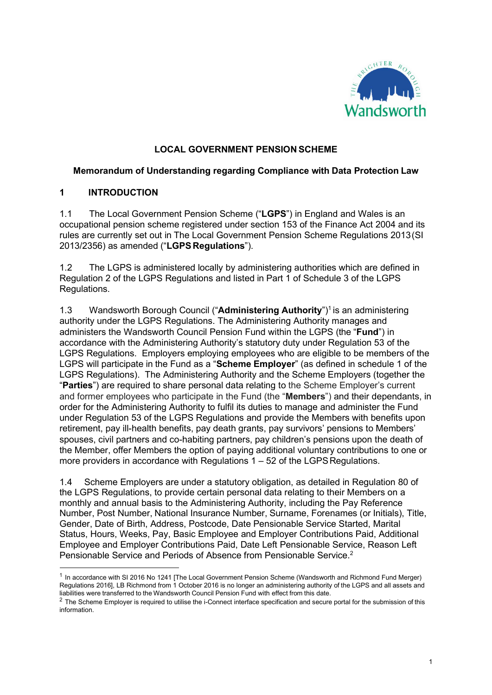

### LOCAL GOVERNMENT PENSION SCHEME

#### Memorandum of Understanding regarding Compliance with Data Protection Law

#### 1 INTRODUCTION

1.1 The Local Government Pension Scheme ("LGPS") in England and Wales is an occupational pension scheme registered under section 153 of the Finance Act 2004 and its rules are currently set out in The Local Government Pension Scheme Regulations 2013 (SI 2013/2356) as amended ("LGPS Regulations").

1.2 The LGPS is administered locally by administering authorities which are defined in Regulation 2 of the LGPS Regulations and listed in Part 1 of Schedule 3 of the LGPS Regulations.

1.3 Wandsworth Borough Council ("Administering Authority")<sup>1</sup> is an administering authority under the LGPS Regulations. The Administering Authority manages and administers the Wandsworth Council Pension Fund within the LGPS (the "Fund") in accordance with the Administering Authority's statutory duty under Regulation 53 of the LGPS Regulations. Employers employing employees who are eligible to be members of the LGPS will participate in the Fund as a "Scheme Employer" (as defined in schedule 1 of the LGPS Regulations). The Administering Authority and the Scheme Employers (together the "Parties") are required to share personal data relating to the Scheme Employer's current and former employees who participate in the Fund (the "Members") and their dependants, in order for the Administering Authority to fulfil its duties to manage and administer the Fund under Regulation 53 of the LGPS Regulations and provide the Members with benefits upon retirement, pay ill-health benefits, pay death grants, pay survivors' pensions to Members' spouses, civil partners and co-habiting partners, pay children's pensions upon the death of the Member, offer Members the option of paying additional voluntary contributions to one or more providers in accordance with Regulations 1 – 52 of the LGPS Regulations.

1.4 Scheme Employers are under a statutory obligation, as detailed in Regulation 80 of the LGPS Regulations, to provide certain personal data relating to their Members on a monthly and annual basis to the Administering Authority, including the Pay Reference Number, Post Number, National Insurance Number, Surname, Forenames (or Initials), Title, Gender, Date of Birth, Address, Postcode, Date Pensionable Service Started, Marital Status, Hours, Weeks, Pay, Basic Employee and Employer Contributions Paid, Additional Employee and Employer Contributions Paid, Date Left Pensionable Service, Reason Left Pensionable Service and Periods of Absence from Pensionable Service.<sup>2</sup>

 $1$  In accordance with SI 2016 No 1241 [The Local Government Pension Scheme (Wandsworth and Richmond Fund Merger) Regulations 2016], LB Richmond from 1 October 2016 is no longer an administering authority of the LGPS and all assets and liabilities were transferred to the Wandsworth Council Pension Fund with effect from this date.

 $2$  The Scheme Employer is required to utilise the i-Connect interface specification and secure portal for the submission of this information.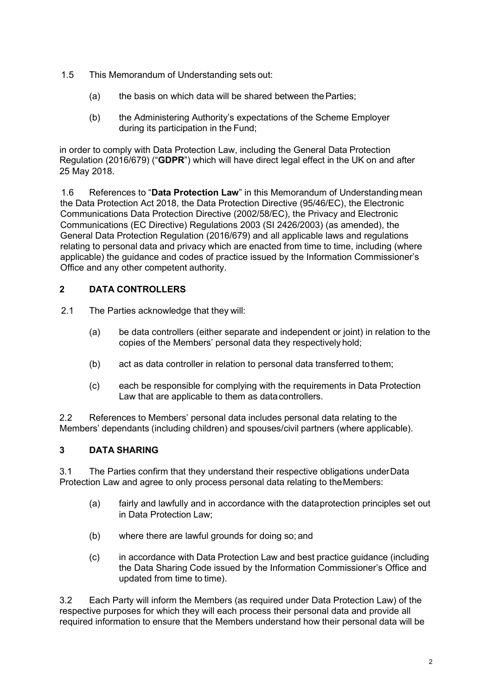- 1.5 This Memorandum of Understanding sets out:
	- (a) the basis on which data will be shared between the Parties;
	- (b) the Administering Authority's expectations of the Scheme Employer during its participation in the Fund;

in order to comply with Data Protection Law, including the General Data Protection Regulation (2016/679) ("GDPR") which will have direct legal effect in the UK on and after 25 May 2018.

1.6 References to "Data Protection Law" in this Memorandum of Understanding mean the Data Protection Act 2018, the Data Protection Directive (95/46/EC), the Electronic Communications Data Protection Directive (2002/58/EC), the Privacy and Electronic Communications (EC Directive) Regulations 2003 (SI 2426/2003) (as amended), the General Data Protection Regulation (2016/679) and all applicable laws and regulations relating to personal data and privacy which are enacted from time to time, including (where applicable) the guidance and codes of practice issued by the Information Commissioner's Office and any other competent authority.

# 2 DATA CONTROLLERS

- 2.1 The Parties acknowledge that they will:
	- (a) be data controllers (either separate and independent or joint) in relation to the copies of the Members' personal data they respectively hold;
	- (b) act as data controller in relation to personal data transferred to them;
	- (c) each be responsible for complying with the requirements in Data Protection Law that are applicable to them as data controllers.

2.2 References to Members' personal data includes personal data relating to the Members' dependants (including children) and spouses/civil partners (where applicable).

## 3 DATA SHARING

3.1 The Parties confirm that they understand their respective obligations under Data Protection Law and agree to only process personal data relating to the Members:

- (a) fairly and lawfully and in accordance with the data protection principles set out in Data Protection Law;
- (b) where there are lawful grounds for doing so; and
- (c) in accordance with Data Protection Law and best practice guidance (including the Data Sharing Code issued by the Information Commissioner's Office and updated from time to time).

3.2 Each Party will inform the Members (as required under Data Protection Law) of the respective purposes for which they will each process their personal data and provide all required information to ensure that the Members understand how their personal data will be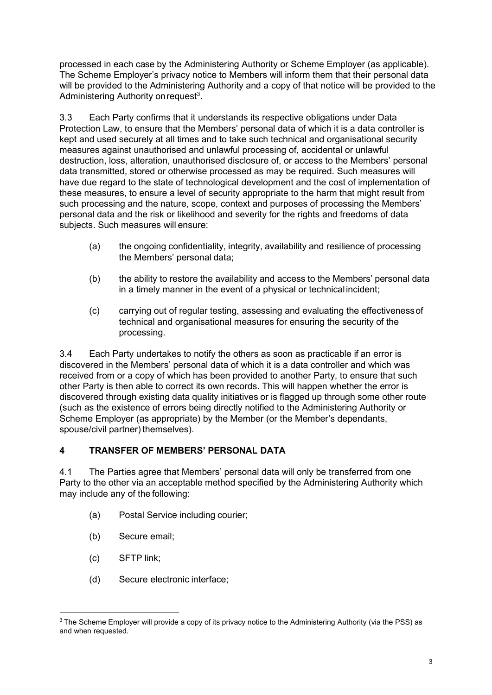processed in each case by the Administering Authority or Scheme Employer (as applicable). The Scheme Employer's privacy notice to Members will inform them that their personal data will be provided to the Administering Authority and a copy of that notice will be provided to the Administering Authority on request<sup>3</sup>.

3.3 Each Party confirms that it understands its respective obligations under Data Protection Law, to ensure that the Members' personal data of which it is a data controller is kept and used securely at all times and to take such technical and organisational security measures against unauthorised and unlawful processing of, accidental or unlawful destruction, loss, alteration, unauthorised disclosure of, or access to the Members' personal data transmitted, stored or otherwise processed as may be required. Such measures will have due regard to the state of technological development and the cost of implementation of these measures, to ensure a level of security appropriate to the harm that might result from such processing and the nature, scope, context and purposes of processing the Members' personal data and the risk or likelihood and severity for the rights and freedoms of data subjects. Such measures will ensure:

- (a) the ongoing confidentiality, integrity, availability and resilience of processing the Members' personal data;
- (b) the ability to restore the availability and access to the Members' personal data in a timely manner in the event of a physical or technical incident;
- (c) carrying out of regular testing, assessing and evaluating the effectiveness of technical and organisational measures for ensuring the security of the processing.

3.4 Each Party undertakes to notify the others as soon as practicable if an error is discovered in the Members' personal data of which it is a data controller and which was received from or a copy of which has been provided to another Party, to ensure that such other Party is then able to correct its own records. This will happen whether the error is discovered through existing data quality initiatives or is flagged up through some other route (such as the existence of errors being directly notified to the Administering Authority or Scheme Employer (as appropriate) by the Member (or the Member's dependants, spouse/civil partner) themselves).

### 4 TRANSFER OF MEMBERS' PERSONAL DATA

4.1 The Parties agree that Members' personal data will only be transferred from one Party to the other via an acceptable method specified by the Administering Authority which may include any of the following:

- (a) Postal Service including courier;
- (b) Secure email;
- (c) SFTP link;
- (d) Secure electronic interface;

 $3$  The Scheme Employer will provide a copy of its privacy notice to the Administering Authority (via the PSS) as and when requested.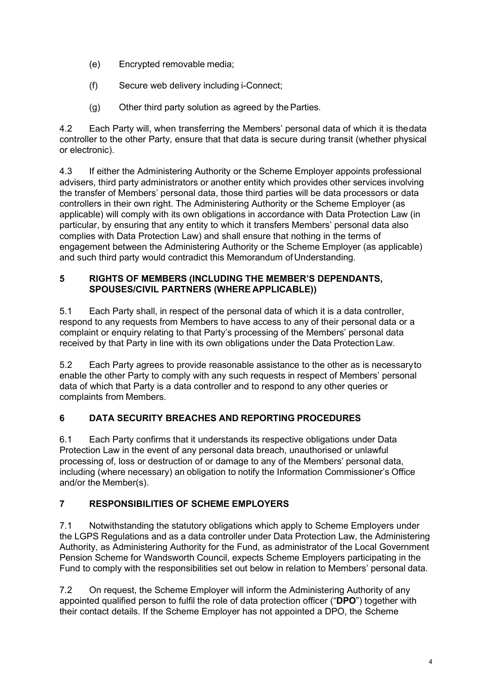- (e) Encrypted removable media;
- (f) Secure web delivery including i-Connect;
- (g) Other third party solution as agreed by the Parties.

4.2 Each Party will, when transferring the Members' personal data of which it is the data controller to the other Party, ensure that that data is secure during transit (whether physical or electronic).

4.3 If either the Administering Authority or the Scheme Employer appoints professional advisers, third party administrators or another entity which provides other services involving the transfer of Members' personal data, those third parties will be data processors or data controllers in their own right. The Administering Authority or the Scheme Employer (as applicable) will comply with its own obligations in accordance with Data Protection Law (in particular, by ensuring that any entity to which it transfers Members' personal data also complies with Data Protection Law) and shall ensure that nothing in the terms of engagement between the Administering Authority or the Scheme Employer (as applicable) and such third party would contradict this Memorandum of Understanding.

### 5 RIGHTS OF MEMBERS (INCLUDING THE MEMBER'S DEPENDANTS, SPOUSES/CIVIL PARTNERS (WHERE APPLICABLE))

5.1 Each Party shall, in respect of the personal data of which it is a data controller, respond to any requests from Members to have access to any of their personal data or a complaint or enquiry relating to that Party's processing of the Members' personal data received by that Party in line with its own obligations under the Data Protection Law.

5.2 Each Party agrees to provide reasonable assistance to the other as is necessary to enable the other Party to comply with any such requests in respect of Members' personal data of which that Party is a data controller and to respond to any other queries or complaints from Members.

## 6 DATA SECURITY BREACHES AND REPORTING PROCEDURES

6.1 Each Party confirms that it understands its respective obligations under Data Protection Law in the event of any personal data breach, unauthorised or unlawful processing of, loss or destruction of or damage to any of the Members' personal data, including (where necessary) an obligation to notify the Information Commissioner's Office and/or the Member(s).

## 7 RESPONSIBILITIES OF SCHEME EMPLOYERS

7.1 Notwithstanding the statutory obligations which apply to Scheme Employers under the LGPS Regulations and as a data controller under Data Protection Law, the Administering Authority, as Administering Authority for the Fund, as administrator of the Local Government Pension Scheme for Wandsworth Council, expects Scheme Employers participating in the Fund to comply with the responsibilities set out below in relation to Members' personal data.

7.2 On request, the Scheme Employer will inform the Administering Authority of any appointed qualified person to fulfil the role of data protection officer ("DPO") together with their contact details. If the Scheme Employer has not appointed a DPO, the Scheme